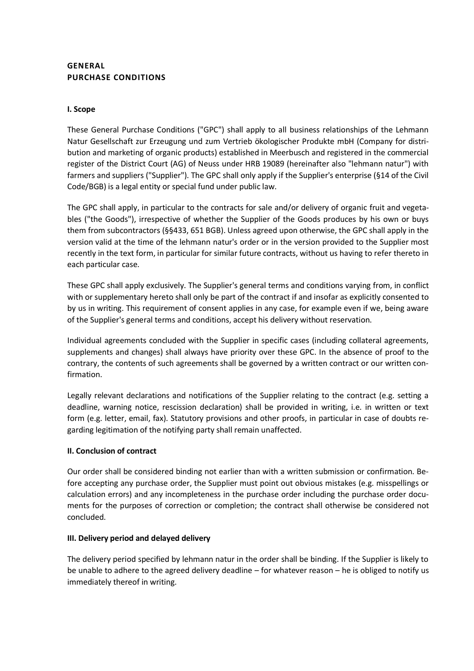# **GENERAL PURCHASE CONDITIONS**

## **I. Scope**

These General Purchase Conditions ("GPC") shall apply to all business relationships of the Lehmann Natur Gesellschaft zur Erzeugung und zum Vertrieb ökologischer Produkte mbH (Company for distribution and marketing of organic products) established in Meerbusch and registered in the commercial register of the District Court (AG) of Neuss under HRB 19089 (hereinafter also "lehmann natur") with farmers and suppliers ("Supplier"). The GPC shall only apply if the Supplier's enterprise (§14 of the Civil Code/BGB) is a legal entity or special fund under public law.

The GPC shall apply, in particular to the contracts for sale and/or delivery of organic fruit and vegetables ("the Goods"), irrespective of whether the Supplier of the Goods produces by his own or buys them from subcontractors (§§433, 651 BGB). Unless agreed upon otherwise, the GPC shall apply in the version valid at the time of the lehmann natur's order or in the version provided to the Supplier most recently in the text form, in particular for similar future contracts, without us having to refer thereto in each particular case.

These GPC shall apply exclusively. The Supplier's general terms and conditions varying from, in conflict with or supplementary hereto shall only be part of the contract if and insofar as explicitly consented to by us in writing. This requirement of consent applies in any case, for example even if we, being aware of the Supplier's general terms and conditions, accept his delivery without reservation.

Individual agreements concluded with the Supplier in specific cases (including collateral agreements, supplements and changes) shall always have priority over these GPC. In the absence of proof to the contrary, the contents of such agreements shall be governed by a written contract or our written confirmation.

Legally relevant declarations and notifications of the Supplier relating to the contract (e.g. setting a deadline, warning notice, rescission declaration) shall be provided in writing, i.e. in written or text form (e.g. letter, email, fax). Statutory provisions and other proofs, in particular in case of doubts regarding legitimation of the notifying party shall remain unaffected.

# **II. Conclusion of contract**

Our order shall be considered binding not earlier than with a written submission or confirmation. Before accepting any purchase order, the Supplier must point out obvious mistakes (e.g. misspellings or calculation errors) and any incompleteness in the purchase order including the purchase order documents for the purposes of correction or completion; the contract shall otherwise be considered not concluded.

#### **III. Delivery period and delayed delivery**

The delivery period specified by lehmann natur in the order shall be binding. If the Supplier is likely to be unable to adhere to the agreed delivery deadline – for whatever reason – he is obliged to notify us immediately thereof in writing.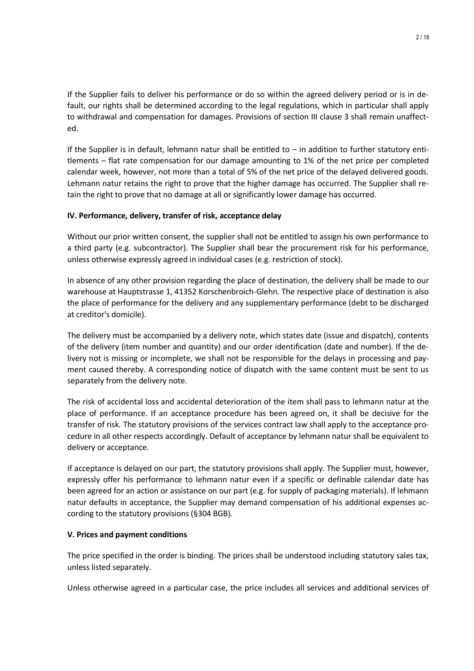If the Supplier fails to deliver his performance or do so within the agreed delivery period or is in default, our rights shall be determined according to the legal regulations, which in particular shall apply to withdrawal and compensation for damages. Provisions of section III clause 3 shall remain unaffected.

If the Supplier is in default, lehmann natur shall be entitled to  $-$  in addition to further statutory entitlements – flat rate compensation for our damage amounting to 1% of the net price per completed calendar week, however, not more than a total of 5% of the net price of the delayed delivered goods. Lehmann natur retains the right to prove that the higher damage has occurred. The Supplier shall retain the right to prove that no damage at all or significantly lower damage has occurred.

## **IV. Performance, delivery, transfer of risk, acceptance delay**

Without our prior written consent, the supplier shall not be entitled to assign his own performance to a third party (e.g. subcontractor). The Supplier shall bear the procurement risk for his performance, unless otherwise expressly agreed in individual cases (e.g. restriction of stock).

In absence of any other provision regarding the place of destination, the delivery shall be made to our warehouse at Hauptstrasse 1, 41352 Korschenbroich-Glehn. The respective place of destination is also the place of performance for the delivery and any supplementary performance (debt to be discharged at creditor's domicile).

The delivery must be accompanied by a delivery note, which states date (issue and dispatch), contents of the delivery (item number and quantity) and our order identification (date and number). If the delivery not is missing or incomplete, we shall not be responsible for the delays in processing and payment caused thereby. A corresponding notice of dispatch with the same content must be sent to us separately from the delivery note.

The risk of accidental loss and accidental deterioration of the item shall pass to lehmann natur at the place of performance. If an acceptance procedure has been agreed on, it shall be decisive for the transfer of risk. The statutory provisions of the services contract law shall apply to the acceptance procedure in all other respects accordingly. Default of acceptance by lehmann natur shall be equivalent to delivery or acceptance.

If acceptance is delayed on our part, the statutory provisions shall apply. The Supplier must, however, expressly offer his performance to lehmann natur even if a specific or definable calendar date has been agreed for an action or assistance on our part (e.g. for supply of packaging materials). If lehmann natur defaults in acceptance, the Supplier may demand compensation of his additional expenses according to the statutory provisions (§304 BGB).

#### **V. Prices and payment conditions**

The price specified in the order is binding. The prices shall be understood including statutory sales tax, unless listed separately.

Unless otherwise agreed in a particular case, the price includes all services and additional services of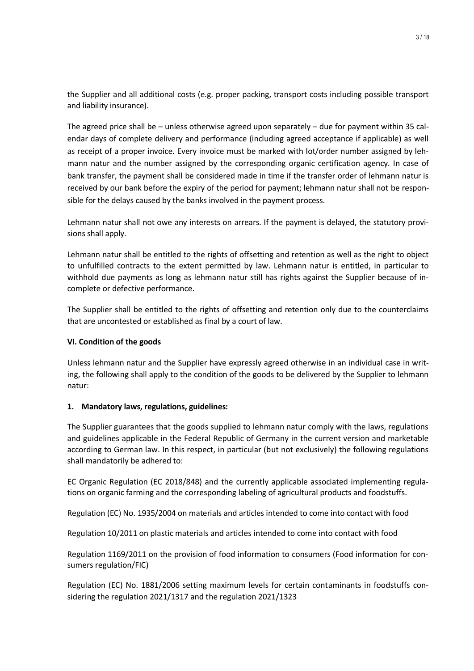the Supplier and all additional costs (e.g. proper packing, transport costs including possible transport and liability insurance).

The agreed price shall be – unless otherwise agreed upon separately – due for payment within 35 calendar days of complete delivery and performance (including agreed acceptance if applicable) as well as receipt of a proper invoice. Every invoice must be marked with lot/order number assigned by lehmann natur and the number assigned by the corresponding organic certification agency. In case of bank transfer, the payment shall be considered made in time if the transfer order of lehmann natur is received by our bank before the expiry of the period for payment; lehmann natur shall not be responsible for the delays caused by the banks involved in the payment process.

Lehmann natur shall not owe any interests on arrears. If the payment is delayed, the statutory provisions shall apply.

Lehmann natur shall be entitled to the rights of offsetting and retention as well as the right to object to unfulfilled contracts to the extent permitted by law. Lehmann natur is entitled, in particular to withhold due payments as long as lehmann natur still has rights against the Supplier because of incomplete or defective performance.

The Supplier shall be entitled to the rights of offsetting and retention only due to the counterclaims that are uncontested or established as final by a court of law.

#### **VI. Condition of the goods**

Unless lehmann natur and the Supplier have expressly agreed otherwise in an individual case in writing, the following shall apply to the condition of the goods to be delivered by the Supplier to lehmann natur:

#### **1. Mandatory laws, regulations, guidelines:**

The Supplier guarantees that the goods supplied to lehmann natur comply with the laws, regulations and guidelines applicable in the Federal Republic of Germany in the current version and marketable according to German law. In this respect, in particular (but not exclusively) the following regulations shall mandatorily be adhered to:

EC Organic Regulation (EC 2018/848) and the currently applicable associated implementing regulations on organic farming and the corresponding labeling of agricultural products and foodstuffs.

Regulation (EC) No. 1935/2004 on materials and articles intended to come into contact with food

Regulation 10/2011 on plastic materials and articles intended to come into contact with food

Regulation 1169/2011 on the provision of food information to consumers (Food information for consumers regulation/FIC)

Regulation (EC) No. 1881/2006 setting maximum levels for certain contaminants in foodstuffs considering the regulation 2021/1317 and the regulation 2021/1323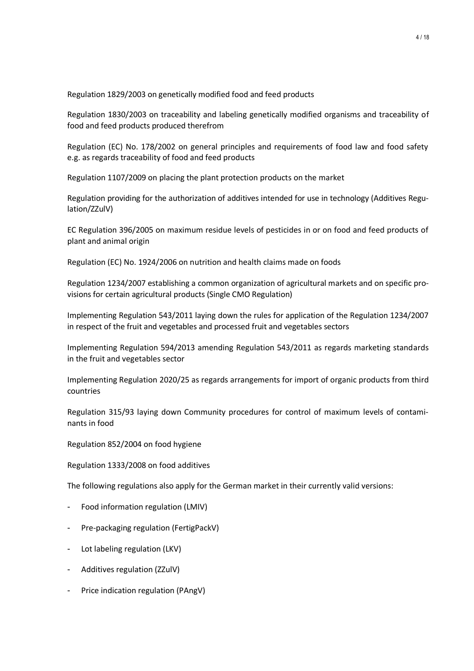Regulation 1829/2003 on genetically modified food and feed products

Regulation 1830/2003 on traceability and labeling genetically modified organisms and traceability of food and feed products produced therefrom

Regulation (EC) No. 178/2002 on general principles and requirements of food law and food safety e.g. as regards traceability of food and feed products

Regulation 1107/2009 on placing the plant protection products on the market

Regulation providing for the authorization of additives intended for use in technology (Additives Regulation/ZZulV)

EC Regulation 396/2005 on maximum residue levels of pesticides in or on food and feed products of plant and animal origin

Regulation (EC) No. 1924/2006 on nutrition and health claims made on foods

Regulation 1234/2007 establishing a common organization of agricultural markets and on specific provisions for certain agricultural products (Single CMO Regulation)

Implementing Regulation 543/2011 laying down the rules for application of the Regulation 1234/2007 in respect of the fruit and vegetables and processed fruit and vegetables sectors

Implementing Regulation 594/2013 amending Regulation 543/2011 as regards marketing standards in the fruit and vegetables sector

Implementing Regulation 2020/25 as regards arrangements for import of organic products from third countries

Regulation 315/93 laying down Community procedures for control of maximum levels of contaminants in food

Regulation 852/2004 on food hygiene

Regulation 1333/2008 on food additives

The following regulations also apply for the German market in their currently valid versions:

- Food information regulation (LMIV)
- Pre-packaging regulation (FertigPackV)
- Lot labeling regulation (LKV)
- Additives regulation (ZZulV)
- Price indication regulation (PAngV)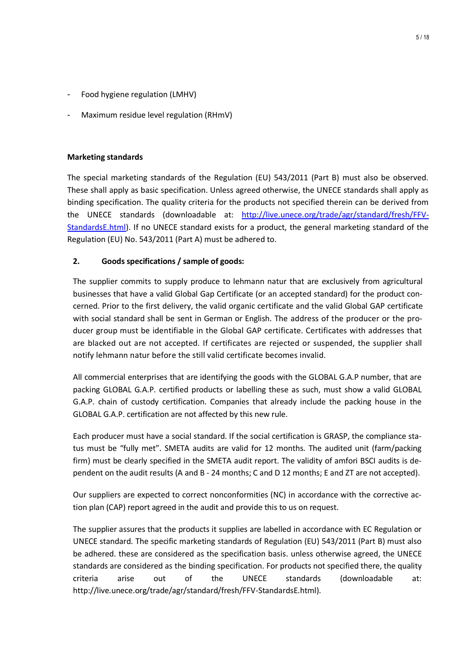- Food hygiene regulation (LMHV)
- Maximum residue level regulation (RHmV)

### **Marketing standards**

The special marketing standards of the Regulation (EU) 543/2011 (Part B) must also be observed. These shall apply as basic specification. Unless agreed otherwise, the UNECE standards shall apply as binding specification. The quality criteria for the products not specified therein can be derived from the UNECE standards (downloadable at: [http://live.unece.org/trade/agr/standard/fresh/FFV-](http://live.unece.org/trade/agr/standard/fresh/FFV-StandardsE.html)[StandardsE.html\)](http://live.unece.org/trade/agr/standard/fresh/FFV-StandardsE.html). If no UNECE standard exists for a product, the general marketing standard of the Regulation (EU) No. 543/2011 (Part A) must be adhered to.

# **2. Goods specifications / sample of goods:**

The supplier commits to supply produce to lehmann natur that are exclusively from agricultural businesses that have a valid Global Gap Certificate (or an accepted standard) for the product concerned. Prior to the first delivery, the valid organic certificate and the valid Global GAP certificate with social standard shall be sent in German or English. The address of the producer or the producer group must be identifiable in the Global GAP certificate. Certificates with addresses that are blacked out are not accepted. If certificates are rejected or suspended, the supplier shall notify lehmann natur before the still valid certificate becomes invalid.

All commercial enterprises that are identifying the goods with the GLOBAL G.A.P number, that are packing GLOBAL G.A.P. certified products or labelling these as such, must show a valid GLOBAL G.A.P. chain of custody certification. Companies that already include the packing house in the GLOBAL G.A.P. certification are not affected by this new rule.

Each producer must have a social standard. If the social certification is GRASP, the compliance status must be "fully met". SMETA audits are valid for 12 months. The audited unit (farm/packing firm) must be clearly specified in the SMETA audit report. The validity of amfori BSCI audits is dependent on the audit results (A and B - 24 months; C and D 12 months; E and ZT are not accepted).

Our suppliers are expected to correct nonconformities (NC) in accordance with the corrective action plan (CAP) report agreed in the audit and provide this to us on request.

The supplier assures that the products it supplies are labelled in accordance with EC Regulation or UNECE standard. The specific marketing standards of Regulation (EU) 543/2011 (Part B) must also be adhered. these are considered as the specification basis. unless otherwise agreed, the UNECE standards are considered as the binding specification. For products not specified there, the quality criteria arise out of the UNECE standards (downloadable at: http://live.unece.org/trade/agr/standard/fresh/FFV-StandardsE.html).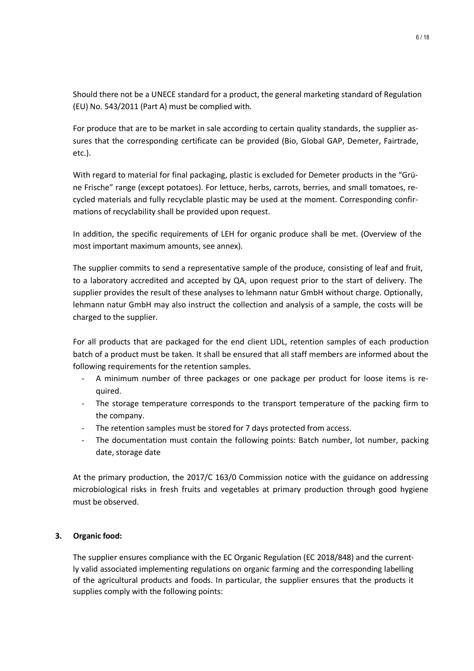Should there not be a UNECE standard for a product, the general marketing standard of Regulation (EU) No. 543/2011 (Part A) must be complied with.

For produce that are to be market in sale according to certain quality standards, the supplier assures that the corresponding certificate can be provided (Bio, Global GAP, Demeter, Fairtrade, etc.).

With regard to material for final packaging, plastic is excluded for Demeter products in the "Grüne Frische" range (except potatoes). For lettuce, herbs, carrots, berries, and small tomatoes, recycled materials and fully recyclable plastic may be used at the moment. Corresponding confirmations of recyclability shall be provided upon request.

In addition, the specific requirements of LEH for organic produce shall be met. (Overview of the most important maximum amounts, see annex).

The supplier commits to send a representative sample of the produce, consisting of leaf and fruit, to a laboratory accredited and accepted by QA, upon request prior to the start of delivery. The supplier provides the result of these analyses to lehmann natur GmbH without charge. Optionally, lehmann natur GmbH may also instruct the collection and analysis of a sample, the costs will be charged to the supplier.

For all products that are packaged for the end client LIDL, retention samples of each production batch of a product must be taken. It shall be ensured that all staff members are informed about the following requirements for the retention samples.

- A minimum number of three packages or one package per product for loose items is required.
- The storage temperature corresponds to the transport temperature of the packing firm to the company.
- The retention samples must be stored for 7 days protected from access.
- The documentation must contain the following points: Batch number, lot number, packing date, storage date

At the primary production, the 2017/C 163/0 Commission notice with the guidance on addressing microbiological risks in fresh fruits and vegetables at primary production through good hygiene must be observed.

#### **3. Organic food:**

The supplier ensures compliance with the EC Organic Regulation (EC 2018/848) and the currently valid associated implementing regulations on organic farming and the corresponding labelling of the agricultural products and foods. In particular, the supplier ensures that the products it supplies comply with the following points: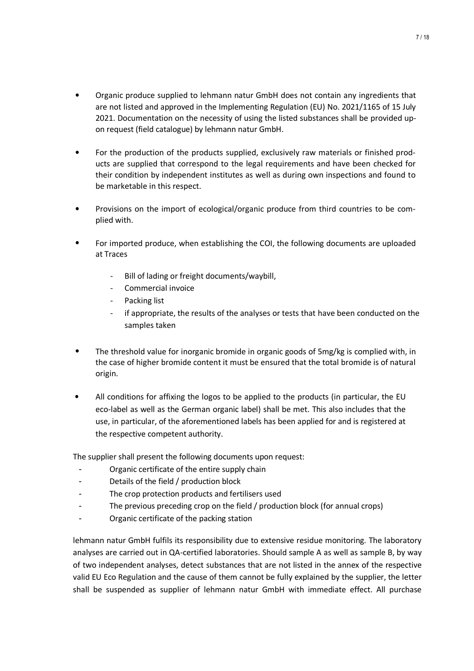- Organic produce supplied to lehmann natur GmbH does not contain any ingredients that are not listed and approved in the Implementing Regulation (EU) No. 2021/1165 of 15 July 2021. Documentation on the necessity of using the listed substances shall be provided upon request (field catalogue) by lehmann natur GmbH.
- For the production of the products supplied, exclusively raw materials or finished products are supplied that correspond to the legal requirements and have been checked for their condition by independent institutes as well as during own inspections and found to be marketable in this respect.
- Provisions on the import of ecological/organic produce from third countries to be complied with.
- For imported produce, when establishing the COI, the following documents are uploaded at Traces
	- Bill of lading or freight documents/waybill,
	- Commercial invoice
	- Packing list
	- if appropriate, the results of the analyses or tests that have been conducted on the samples taken
- The threshold value for inorganic bromide in organic goods of 5mg/kg is complied with, in the case of higher bromide content it must be ensured that the total bromide is of natural origin.
- All conditions for affixing the logos to be applied to the products (in particular, the EU eco-label as well as the German organic label) shall be met. This also includes that the use, in particular, of the aforementioned labels has been applied for and is registered at the respective competent authority.

The supplier shall present the following documents upon request:

- Organic certificate of the entire supply chain
- Details of the field / production block
- The crop protection products and fertilisers used
- The previous preceding crop on the field / production block (for annual crops)
- Organic certificate of the packing station

lehmann natur GmbH fulfils its responsibility due to extensive residue monitoring. The laboratory analyses are carried out in QA-certified laboratories. Should sample A as well as sample B, by way of two independent analyses, detect substances that are not listed in the annex of the respective valid EU Eco Regulation and the cause of them cannot be fully explained by the supplier, the letter shall be suspended as supplier of lehmann natur GmbH with immediate effect. All purchase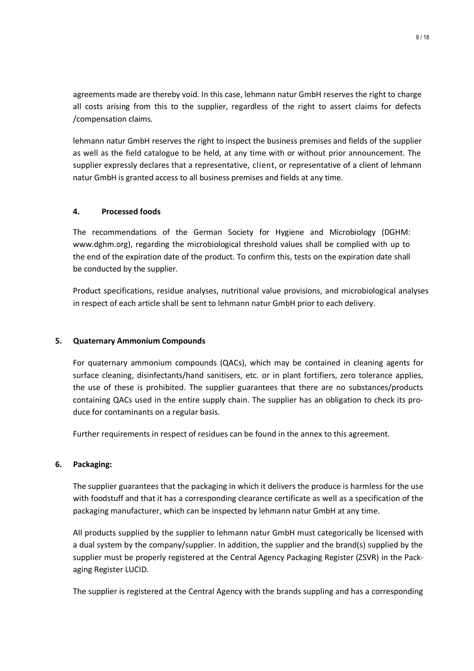agreements made are thereby void. In this case, lehmann natur GmbH reserves the right to charge all costs arising from this to the supplier, regardless of the right to assert claims for defects /compensation claims.

lehmann natur GmbH reserves the right to inspect the business premises and fields of the supplier as well as the field catalogue to be held, at any time with or without prior announcement. The supplier expressly declares that a representative, client, or representative of a client of lehmann natur GmbH is granted access to all business premises and fields at any time.

## **4. Processed foods**

The recommendations of the German Society for Hygiene and Microbiology (DGHM: www.dghm.org), regarding the microbiological threshold values shall be complied with up to the end of the expiration date of the product. To confirm this, tests on the expiration date shall be conducted by the supplier.

Product specifications, residue analyses, nutritional value provisions, and microbiological analyses in respect of each article shall be sent to lehmann natur GmbH prior to each delivery.

#### **5. Quaternary Ammonium Compounds**

For quaternary ammonium compounds (QACs), which may be contained in cleaning agents for surface cleaning, disinfectants/hand sanitisers, etc. or in plant fortifiers, zero tolerance applies, the use of these is prohibited. The supplier guarantees that there are no substances/products containing QACs used in the entire supply chain. The supplier has an obligation to check its produce for contaminants on a regular basis.

Further requirements in respect of residues can be found in the annex to this agreement.

#### **6. Packaging:**

The supplier guarantees that the packaging in which it delivers the produce is harmless for the use with foodstuff and that it has a corresponding clearance certificate as well as a specification of the packaging manufacturer, which can be inspected by lehmann natur GmbH at any time.

All products supplied by the supplier to lehmann natur GmbH must categorically be licensed with a dual system by the company/supplier. In addition, the supplier and the brand(s) supplied by the supplier must be properly registered at the Central Agency Packaging Register (ZSVR) in the Packaging Register LUCID.

The supplier is registered at the Central Agency with the brands suppling and has a corresponding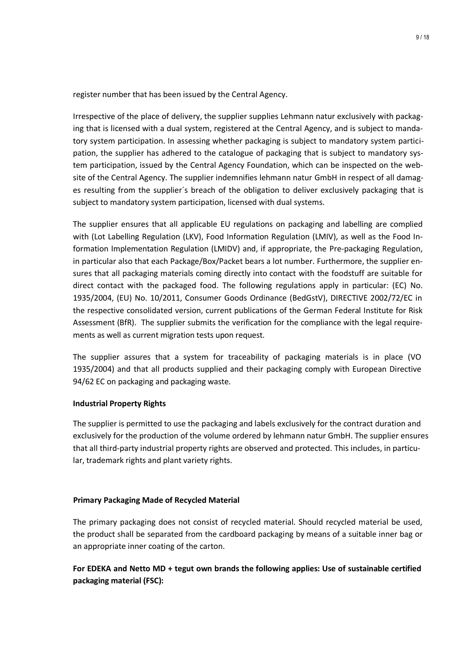register number that has been issued by the Central Agency.

Irrespective of the place of delivery, the supplier supplies Lehmann natur exclusively with packaging that is licensed with a dual system, registered at the Central Agency, and is subject to mandatory system participation. In assessing whether packaging is subject to mandatory system participation, the supplier has adhered to the catalogue of packaging that is subject to mandatory system participation, issued by the Central Agency Foundation, which can be inspected on the website of the Central Agency. The supplier indemnifies lehmann natur GmbH in respect of all damages resulting from the supplier´s breach of the obligation to deliver exclusively packaging that is subject to mandatory system participation, licensed with dual systems.

The supplier ensures that all applicable EU regulations on packaging and labelling are complied with (Lot Labelling Regulation (LKV), Food Information Regulation (LMIV), as well as the Food Information Implementation Regulation (LMIDV) and, if appropriate, the Pre-packaging Regulation, in particular also that each Package/Box/Packet bears a lot number. Furthermore, the supplier ensures that all packaging materials coming directly into contact with the foodstuff are suitable for direct contact with the packaged food. The following regulations apply in particular: (EC) No. 1935/2004, (EU) No. 10/2011, Consumer Goods Ordinance (BedGstV), DIRECTIVE 2002/72/EC in the respective consolidated version, current publications of the German Federal Institute for Risk Assessment (BfR). The supplier submits the verification for the compliance with the legal requirements as well as current migration tests upon request.

The supplier assures that a system for traceability of packaging materials is in place (VO 1935/2004) and that all products supplied and their packaging comply with European Directive 94/62 EC on packaging and packaging waste.

#### **Industrial Property Rights**

The supplier is permitted to use the packaging and labels exclusively for the contract duration and exclusively for the production of the volume ordered by lehmann natur GmbH. The supplier ensures that all third-party industrial property rights are observed and protected. This includes, in particular, trademark rights and plant variety rights.

# **Primary Packaging Made of Recycled Material**

The primary packaging does not consist of recycled material. Should recycled material be used, the product shall be separated from the cardboard packaging by means of a suitable inner bag or an appropriate inner coating of the carton.

# **For EDEKA and Netto MD + tegut own brands the following applies: Use of sustainable certified packaging material (FSC):**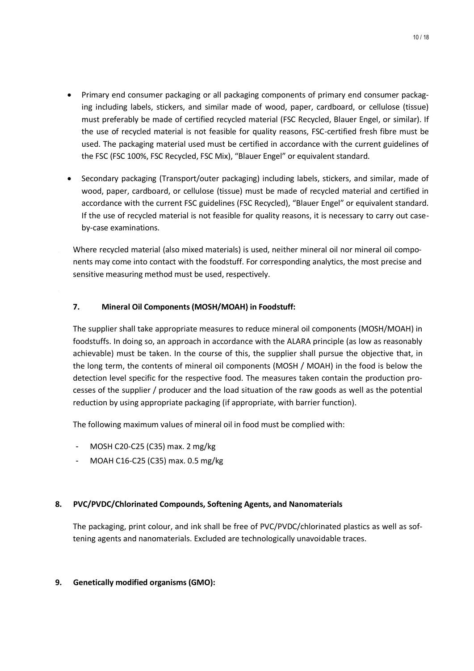- Primary end consumer packaging or all packaging components of primary end consumer packaging including labels, stickers, and similar made of wood, paper, cardboard, or cellulose (tissue) must preferably be made of certified recycled material (FSC Recycled, Blauer Engel, or similar). If the use of recycled material is not feasible for quality reasons, FSC-certified fresh fibre must be used. The packaging material used must be certified in accordance with the current guidelines of the FSC (FSC 100%, FSC Recycled, FSC Mix), "Blauer Engel" or equivalent standard.
- Secondary packaging (Transport/outer packaging) including labels, stickers, and similar, made of wood, paper, cardboard, or cellulose (tissue) must be made of recycled material and certified in accordance with the current FSC guidelines (FSC Recycled), "Blauer Engel" or equivalent standard. If the use of recycled material is not feasible for quality reasons, it is necessary to carry out caseby-case examinations.

• Where recycled material (also mixed materials) is used, neither mineral oil nor mineral oil components may come into contact with the foodstuff. For corresponding analytics, the most precise and sensitive measuring method must be used, respectively.

# **7. Mineral Oil Components (MOSH/MOAH) in Foodstuff:**

The supplier shall take appropriate measures to reduce mineral oil components (MOSH/MOAH) in foodstuffs. In doing so, an approach in accordance with the ALARA principle (as low as reasonably achievable) must be taken. In the course of this, the supplier shall pursue the objective that, in the long term, the contents of mineral oil components (MOSH / MOAH) in the food is below the detection level specific for the respective food. The measures taken contain the production processes of the supplier / producer and the load situation of the raw goods as well as the potential reduction by using appropriate packaging (if appropriate, with barrier function).

The following maximum values of mineral oil in food must be complied with:

- MOSH C20-C25 (C35) max. 2 mg/kg
- MOAH C16-C25 (C35) max. 0.5 mg/kg

#### **8. PVC/PVDC/Chlorinated Compounds, Softening Agents, and Nanomaterials**

The packaging, print colour, and ink shall be free of PVC/PVDC/chlorinated plastics as well as softening agents and nanomaterials. Excluded are technologically unavoidable traces.

#### **9. Genetically modified organisms (GMO):**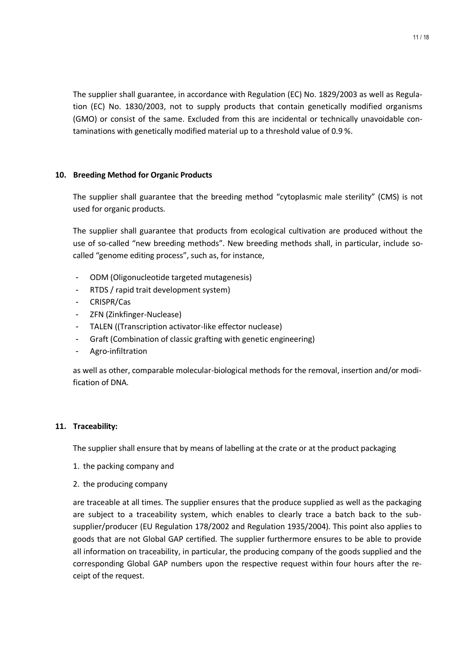The supplier shall guarantee, in accordance with Regulation (EC) No. 1829/2003 as well as Regulation (EC) No. 1830/2003, not to supply products that contain genetically modified organisms (GMO) or consist of the same. Excluded from this are incidental or technically unavoidable contaminations with genetically modified material up to a threshold value of 0.9 %.

#### **10. Breeding Method for Organic Products**

The supplier shall guarantee that the breeding method "cytoplasmic male sterility" (CMS) is not used for organic products.

The supplier shall guarantee that products from ecological cultivation are produced without the use of so-called "new breeding methods". New breeding methods shall, in particular, include socalled "genome editing process", such as, for instance,

- ODM (Oligonucleotide targeted mutagenesis)
- RTDS / rapid trait development system)
- CRISPR/Cas
- ZFN (Zinkfinger-Nuclease)
- TALEN ((Transcription activator-like effector nuclease)
- Graft (Combination of classic grafting with genetic engineering)
- Agro-infiltration

as well as other, comparable molecular-biological methods for the removal, insertion and/or modification of DNA.

#### **11. Traceability:**

The supplier shall ensure that by means of labelling at the crate or at the product packaging

- 1. the packing company and
- 2. the producing company

are traceable at all times. The supplier ensures that the produce supplied as well as the packaging are subject to a traceability system, which enables to clearly trace a batch back to the subsupplier/producer (EU Regulation 178/2002 and Regulation 1935/2004). This point also applies to goods that are not Global GAP certified. The supplier furthermore ensures to be able to provide all information on traceability, in particular, the producing company of the goods supplied and the corresponding Global GAP numbers upon the respective request within four hours after the receipt of the request.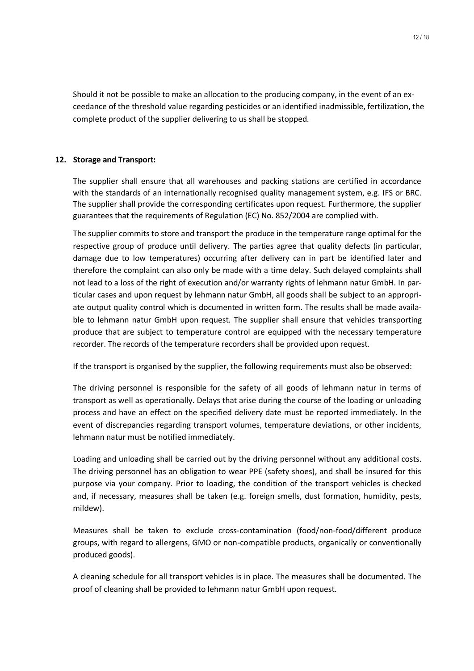Should it not be possible to make an allocation to the producing company, in the event of an exceedance of the threshold value regarding pesticides or an identified inadmissible, fertilization, the complete product of the supplier delivering to us shall be stopped.

# **12. Storage and Transport:**

The supplier shall ensure that all warehouses and packing stations are certified in accordance with the standards of an internationally recognised quality management system, e.g. IFS or BRC. The supplier shall provide the corresponding certificates upon request. Furthermore, the supplier guarantees that the requirements of Regulation (EC) No. 852/2004 are complied with.

The supplier commits to store and transport the produce in the temperature range optimal for the respective group of produce until delivery. The parties agree that quality defects (in particular, damage due to low temperatures) occurring after delivery can in part be identified later and therefore the complaint can also only be made with a time delay. Such delayed complaints shall not lead to a loss of the right of execution and/or warranty rights of lehmann natur GmbH. In particular cases and upon request by lehmann natur GmbH, all goods shall be subject to an appropriate output quality control which is documented in written form. The results shall be made available to lehmann natur GmbH upon request. The supplier shall ensure that vehicles transporting produce that are subject to temperature control are equipped with the necessary temperature recorder. The records of the temperature recorders shall be provided upon request.

If the transport is organised by the supplier, the following requirements must also be observed:

The driving personnel is responsible for the safety of all goods of lehmann natur in terms of transport as well as operationally. Delays that arise during the course of the loading or unloading process and have an effect on the specified delivery date must be reported immediately. In the event of discrepancies regarding transport volumes, temperature deviations, or other incidents, lehmann natur must be notified immediately.

Loading and unloading shall be carried out by the driving personnel without any additional costs. The driving personnel has an obligation to wear PPE (safety shoes), and shall be insured for this purpose via your company. Prior to loading, the condition of the transport vehicles is checked and, if necessary, measures shall be taken (e.g. foreign smells, dust formation, humidity, pests, mildew).

Measures shall be taken to exclude cross-contamination (food/non-food/different produce groups, with regard to allergens, GMO or non-compatible products, organically or conventionally produced goods).

A cleaning schedule for all transport vehicles is in place. The measures shall be documented. The proof of cleaning shall be provided to lehmann natur GmbH upon request.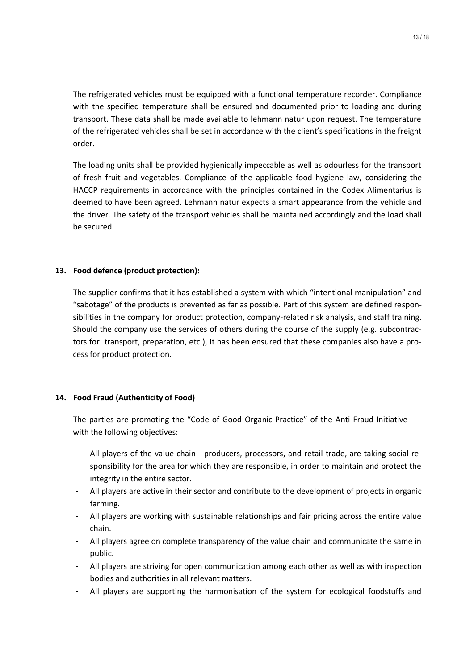The refrigerated vehicles must be equipped with a functional temperature recorder. Compliance with the specified temperature shall be ensured and documented prior to loading and during transport. These data shall be made available to lehmann natur upon request. The temperature of the refrigerated vehicles shall be set in accordance with the client's specifications in the freight order.

The loading units shall be provided hygienically impeccable as well as odourless for the transport of fresh fruit and vegetables. Compliance of the applicable food hygiene law, considering the HACCP requirements in accordance with the principles contained in the Codex Alimentarius is deemed to have been agreed. Lehmann natur expects a smart appearance from the vehicle and the driver. The safety of the transport vehicles shall be maintained accordingly and the load shall be secured.

## **13. Food defence (product protection):**

The supplier confirms that it has established a system with which "intentional manipulation" and "sabotage" of the products is prevented as far as possible. Part of this system are defined responsibilities in the company for product protection, company-related risk analysis, and staff training. Should the company use the services of others during the course of the supply (e.g. subcontractors for: transport, preparation, etc.), it has been ensured that these companies also have a process for product protection.

#### **14. Food Fraud (Authenticity of Food)**

The parties are promoting the "Code of Good Organic Practice" of the Anti-Fraud-Initiative with the following objectives:

- All players of the value chain producers, processors, and retail trade, are taking social responsibility for the area for which they are responsible, in order to maintain and protect the integrity in the entire sector.
- All players are active in their sector and contribute to the development of projects in organic farming.
- All players are working with sustainable relationships and fair pricing across the entire value chain.
- All players agree on complete transparency of the value chain and communicate the same in public.
- All players are striving for open communication among each other as well as with inspection bodies and authorities in all relevant matters.
- All players are supporting the harmonisation of the system for ecological foodstuffs and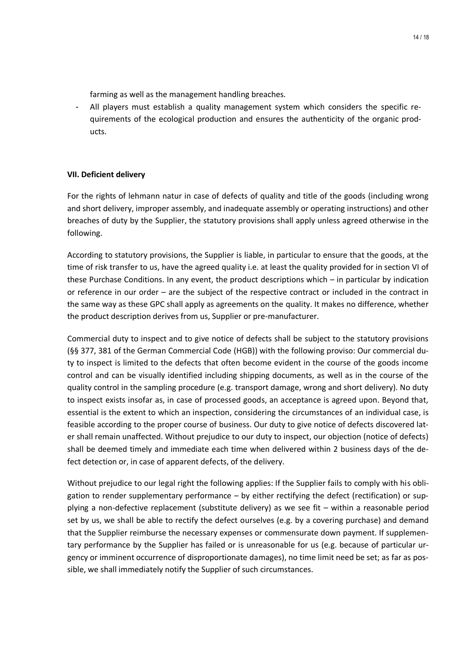farming as well as the management handling breaches.

All players must establish a quality management system which considers the specific requirements of the ecological production and ensures the authenticity of the organic products.

#### **VII. Deficient delivery**

For the rights of lehmann natur in case of defects of quality and title of the goods (including wrong and short delivery, improper assembly, and inadequate assembly or operating instructions) and other breaches of duty by the Supplier, the statutory provisions shall apply unless agreed otherwise in the following.

According to statutory provisions, the Supplier is liable, in particular to ensure that the goods, at the time of risk transfer to us, have the agreed quality i.e. at least the quality provided for in section VI of these Purchase Conditions. In any event, the product descriptions which – in particular by indication or reference in our order – are the subject of the respective contract or included in the contract in the same way as these GPC shall apply as agreements on the quality. It makes no difference, whether the product description derives from us, Supplier or pre-manufacturer.

Commercial duty to inspect and to give notice of defects shall be subject to the statutory provisions (§§ 377, 381 of the German Commercial Code (HGB)) with the following proviso: Our commercial duty to inspect is limited to the defects that often become evident in the course of the goods income control and can be visually identified including shipping documents, as well as in the course of the quality control in the sampling procedure (e.g. transport damage, wrong and short delivery). No duty to inspect exists insofar as, in case of processed goods, an acceptance is agreed upon. Beyond that, essential is the extent to which an inspection, considering the circumstances of an individual case, is feasible according to the proper course of business. Our duty to give notice of defects discovered later shall remain unaffected. Without prejudice to our duty to inspect, our objection (notice of defects) shall be deemed timely and immediate each time when delivered within 2 business days of the defect detection or, in case of apparent defects, of the delivery.

Without prejudice to our legal right the following applies: If the Supplier fails to comply with his obligation to render supplementary performance – by either rectifying the defect (rectification) or supplying a non-defective replacement (substitute delivery) as we see fit – within a reasonable period set by us, we shall be able to rectify the defect ourselves (e.g. by a covering purchase) and demand that the Supplier reimburse the necessary expenses or commensurate down payment. If supplementary performance by the Supplier has failed or is unreasonable for us (e.g. because of particular urgency or imminent occurrence of disproportionate damages), no time limit need be set; as far as possible, we shall immediately notify the Supplier of such circumstances.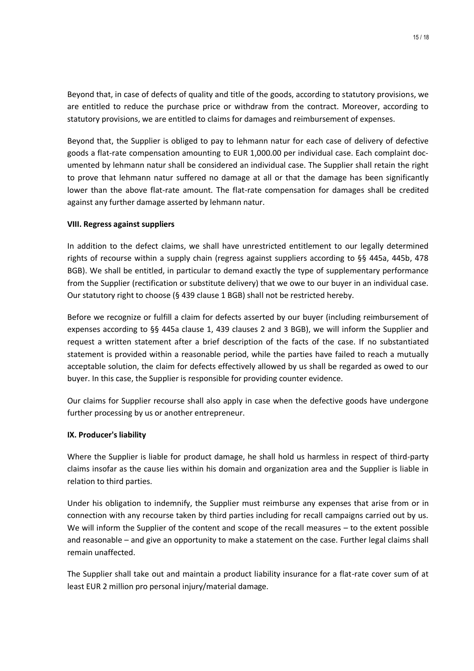Beyond that, in case of defects of quality and title of the goods, according to statutory provisions, we are entitled to reduce the purchase price or withdraw from the contract. Moreover, according to statutory provisions, we are entitled to claims for damages and reimbursement of expenses.

Beyond that, the Supplier is obliged to pay to lehmann natur for each case of delivery of defective goods a flat-rate compensation amounting to EUR 1,000.00 per individual case. Each complaint documented by lehmann natur shall be considered an individual case. The Supplier shall retain the right to prove that lehmann natur suffered no damage at all or that the damage has been significantly lower than the above flat-rate amount. The flat-rate compensation for damages shall be credited against any further damage asserted by lehmann natur.

#### **VIII. Regress against suppliers**

In addition to the defect claims, we shall have unrestricted entitlement to our legally determined rights of recourse within a supply chain (regress against suppliers according to §§ 445a, 445b, 478 BGB). We shall be entitled, in particular to demand exactly the type of supplementary performance from the Supplier (rectification or substitute delivery) that we owe to our buyer in an individual case. Our statutory right to choose (§ 439 clause 1 BGB) shall not be restricted hereby.

Before we recognize or fulfill a claim for defects asserted by our buyer (including reimbursement of expenses according to §§ 445a clause 1, 439 clauses 2 and 3 BGB), we will inform the Supplier and request a written statement after a brief description of the facts of the case. If no substantiated statement is provided within a reasonable period, while the parties have failed to reach a mutually acceptable solution, the claim for defects effectively allowed by us shall be regarded as owed to our buyer. In this case, the Supplier is responsible for providing counter evidence.

Our claims for Supplier recourse shall also apply in case when the defective goods have undergone further processing by us or another entrepreneur.

#### **IX. Producer's liability**

Where the Supplier is liable for product damage, he shall hold us harmless in respect of third-party claims insofar as the cause lies within his domain and organization area and the Supplier is liable in relation to third parties.

Under his obligation to indemnify, the Supplier must reimburse any expenses that arise from or in connection with any recourse taken by third parties including for recall campaigns carried out by us. We will inform the Supplier of the content and scope of the recall measures – to the extent possible and reasonable – and give an opportunity to make a statement on the case. Further legal claims shall remain unaffected.

The Supplier shall take out and maintain a product liability insurance for a flat-rate cover sum of at least EUR 2 million pro personal injury/material damage.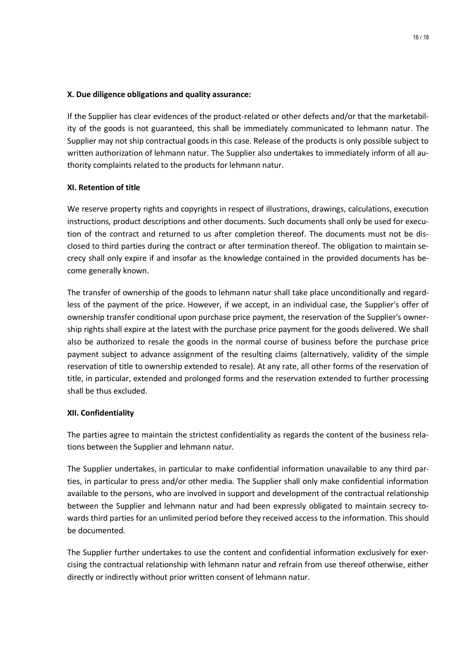### **X. Due diligence obligations and quality assurance:**

If the Supplier has clear evidences of the product-related or other defects and/or that the marketability of the goods is not guaranteed, this shall be immediately communicated to lehmann natur. The Supplier may not ship contractual goods in this case. Release of the products is only possible subject to written authorization of lehmann natur. The Supplier also undertakes to immediately inform of all authority complaints related to the products for lehmann natur.

## **XI. Retention of title**

We reserve property rights and copyrights in respect of illustrations, drawings, calculations, execution instructions, product descriptions and other documents. Such documents shall only be used for execution of the contract and returned to us after completion thereof. The documents must not be disclosed to third parties during the contract or after termination thereof. The obligation to maintain secrecy shall only expire if and insofar as the knowledge contained in the provided documents has become generally known.

The transfer of ownership of the goods to lehmann natur shall take place unconditionally and regardless of the payment of the price. However, if we accept, in an individual case, the Supplier's offer of ownership transfer conditional upon purchase price payment, the reservation of the Supplier's ownership rights shall expire at the latest with the purchase price payment for the goods delivered. We shall also be authorized to resale the goods in the normal course of business before the purchase price payment subject to advance assignment of the resulting claims (alternatively, validity of the simple reservation of title to ownership extended to resale). At any rate, all other forms of the reservation of title, in particular, extended and prolonged forms and the reservation extended to further processing shall be thus excluded.

#### **XII. Confidentiality**

The parties agree to maintain the strictest confidentiality as regards the content of the business relations between the Supplier and lehmann natur.

The Supplier undertakes, in particular to make confidential information unavailable to any third parties, in particular to press and/or other media. The Supplier shall only make confidential information available to the persons, who are involved in support and development of the contractual relationship between the Supplier and lehmann natur and had been expressly obligated to maintain secrecy towards third parties for an unlimited period before they received access to the information. This should be documented.

The Supplier further undertakes to use the content and confidential information exclusively for exercising the contractual relationship with lehmann natur and refrain from use thereof otherwise, either directly or indirectly without prior written consent of lehmann natur.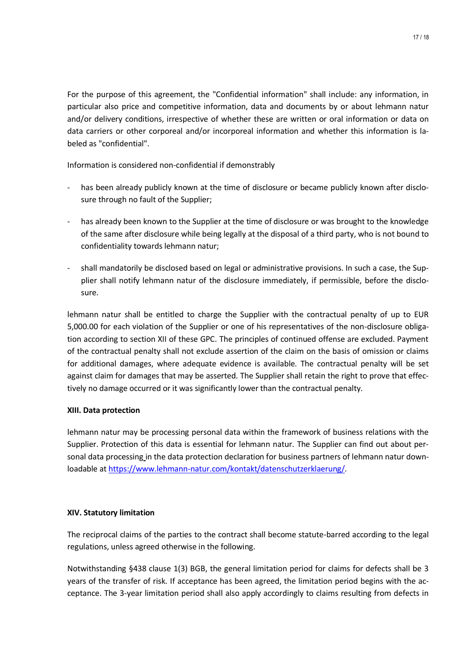For the purpose of this agreement, the "Confidential information" shall include: any information, in particular also price and competitive information, data and documents by or about lehmann natur and/or delivery conditions, irrespective of whether these are written or oral information or data on data carriers or other corporeal and/or incorporeal information and whether this information is labeled as "confidential".

Information is considered non-confidential if demonstrably

- has been already publicly known at the time of disclosure or became publicly known after disclosure through no fault of the Supplier;
- has already been known to the Supplier at the time of disclosure or was brought to the knowledge of the same after disclosure while being legally at the disposal of a third party, who is not bound to confidentiality towards lehmann natur;
- shall mandatorily be disclosed based on legal or administrative provisions. In such a case, the Supplier shall notify lehmann natur of the disclosure immediately, if permissible, before the disclosure.

lehmann natur shall be entitled to charge the Supplier with the contractual penalty of up to EUR 5,000.00 for each violation of the Supplier or one of his representatives of the non-disclosure obligation according to section XII of these GPC. The principles of continued offense are excluded. Payment of the contractual penalty shall not exclude assertion of the claim on the basis of omission or claims for additional damages, where adequate evidence is available. The contractual penalty will be set against claim for damages that may be asserted. The Supplier shall retain the right to prove that effectively no damage occurred or it was significantly lower than the contractual penalty.

# **XIII. Data protection**

lehmann natur may be processing personal data within the framework of business relations with the Supplier. Protection of this data is essential for lehmann natur. The Supplier can find out about personal data processing in the data protection declaration for business partners of lehmann natur downloadable at [https://www.lehmann-natur.com/kontakt/datenschutzerklaerung/.](https://www.lehmann-natur.com/kontakt/datenschutzerklaerung/)

# **XIV. Statutory limitation**

The reciprocal claims of the parties to the contract shall become statute-barred according to the legal regulations, unless agreed otherwise in the following.

Notwithstanding §438 clause 1(3) BGB, the general limitation period for claims for defects shall be 3 years of the transfer of risk. If acceptance has been agreed, the limitation period begins with the acceptance. The 3-year limitation period shall also apply accordingly to claims resulting from defects in